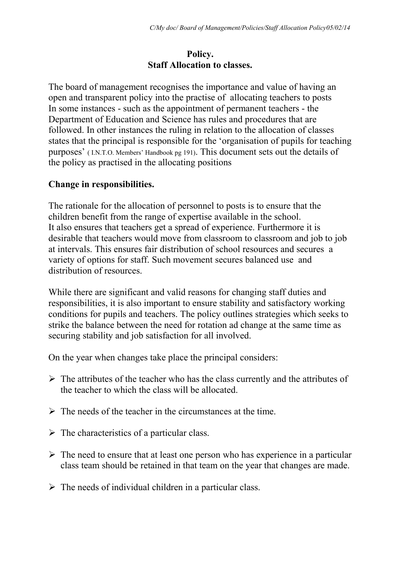## **Policy. Staff Allocation to classes.**

The board of management recognises the importance and value of having an open and transparent policy into the practise of allocating teachers to posts In some instances - such as the appointment of permanent teachers - the Department of Education and Science has rules and procedures that are followed. In other instances the ruling in relation to the allocation of classes states that the principal is responsible for the 'organisation of pupils for teaching purposes' ( I.N.T.O. Members' Handbook pg 191). This document sets out the details of the policy as practised in the allocating positions

# **Change in responsibilities.**

The rationale for the allocation of personnel to posts is to ensure that the children benefit from the range of expertise available in the school. It also ensures that teachers get a spread of experience. Furthermore it is desirable that teachers would move from classroom to classroom and job to job at intervals. This ensures fair distribution of school resources and secures a variety of options for staff. Such movement secures balanced use and distribution of resources.

While there are significant and valid reasons for changing staff duties and responsibilities, it is also important to ensure stability and satisfactory working conditions for pupils and teachers. The policy outlines strategies which seeks to strike the balance between the need for rotation ad change at the same time as securing stability and job satisfaction for all involved.

On the year when changes take place the principal considers:

- $\triangleright$  The attributes of the teacher who has the class currently and the attributes of the teacher to which the class will be allocated.
- $\triangleright$  The needs of the teacher in the circumstances at the time.
- $\triangleright$  The characteristics of a particular class.
- $\triangleright$  The need to ensure that at least one person who has experience in a particular class team should be retained in that team on the year that changes are made.
- $\triangleright$  The needs of individual children in a particular class.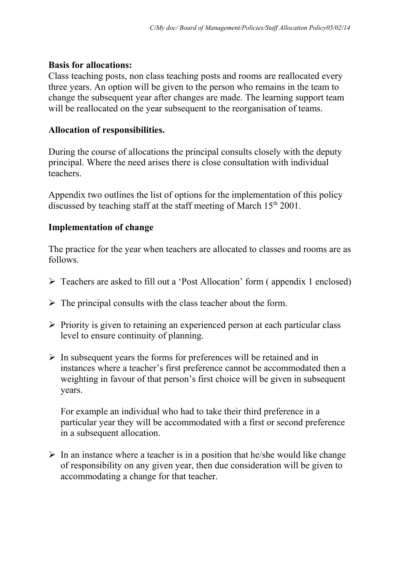#### **Basis for allocations:**

Class teaching posts, non class teaching posts and rooms are reallocated every three years. An option will be given to the person who remains in the team to change the subsequent year after changes are made. The learning support team will be reallocated on the year subsequent to the reorganisation of teams.

## **Allocation of responsibilities.**

During the course of allocations the principal consults closely with the deputy principal. Where the need arises there is close consultation with individual teachers.

Appendix two outlines the list of options for the implementation of this policy discussed by teaching staff at the staff meeting of March  $15<sup>th</sup> 2001$ .

#### **Implementation of change**

The practice for the year when teachers are allocated to classes and rooms are as follows.

- Teachers are asked to fill out a 'Post Allocation' form ( appendix 1 enclosed)
- $\triangleright$  The principal consults with the class teacher about the form.
- $\triangleright$  Priority is given to retaining an experienced person at each particular class level to ensure continuity of planning.
- $\triangleright$  In subsequent years the forms for preferences will be retained and in instances where a teacher's first preference cannot be accommodated then a weighting in favour of that person's first choice will be given in subsequent years.

For example an individual who had to take their third preference in a particular year they will be accommodated with a first or second preference in a subsequent allocation.

 $\triangleright$  In an instance where a teacher is in a position that he/she would like change of responsibility on any given year, then due consideration will be given to accommodating a change for that teacher.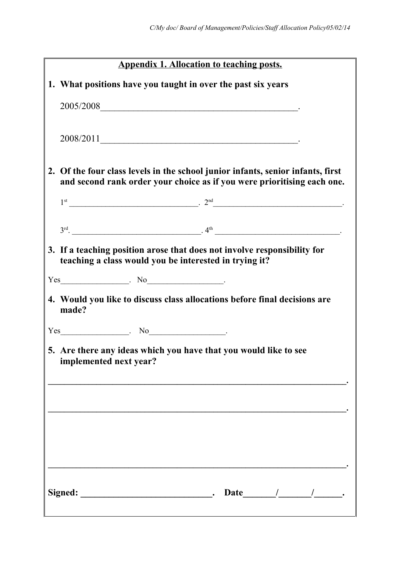|    | <b>Appendix 1. Allocation to teaching posts.</b>                                                                                                        |
|----|---------------------------------------------------------------------------------------------------------------------------------------------------------|
|    | 1. What positions have you taught in over the past six years                                                                                            |
|    | $2005/2008$ $\qquad \qquad \qquad$                                                                                                                      |
|    |                                                                                                                                                         |
|    | 2008/2011                                                                                                                                               |
| 2. | Of the four class levels in the school junior infants, senior infants, first<br>and second rank order your choice as if you were prioritising each one. |
|    | $1st$ $2nd$ $2nd$ $2nd$ $2nd$                                                                                                                           |
|    | $3rd$ . $4th$ $4th$ $4th$ $4th$ $4th$ $4th$ $4th$ $4th$ $4th$ $4th$ $4th$ $4th$ $4th$ $4th$ $4th$ $4th$ $4th$ $4th$ $4th$                               |
|    | 3. If a teaching position arose that does not involve responsibility for<br>teaching a class would you be interested in trying it?                      |
|    |                                                                                                                                                         |
|    | 4. Would you like to discuss class allocations before final decisions are<br>made?                                                                      |
|    | $Yes$ $No$                                                                                                                                              |
|    | 5. Are there any ideas which you have that you would like to see<br>implemented next year?                                                              |
|    |                                                                                                                                                         |
|    |                                                                                                                                                         |
|    |                                                                                                                                                         |
|    |                                                                                                                                                         |
|    | Date $\frac{1}{\sqrt{2\pi}}$                                                                                                                            |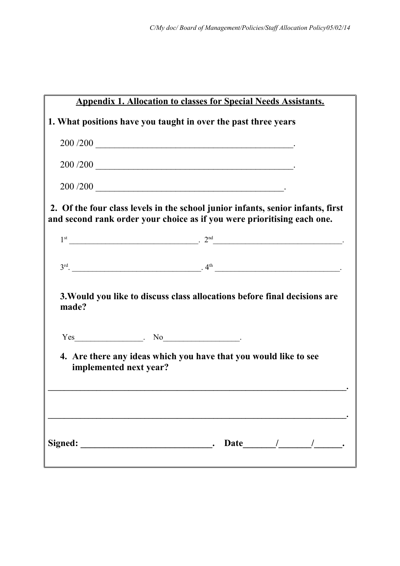|       | <b>Appendix 1. Allocation to classes for Special Needs Assistants.</b>                                                                                     |  |
|-------|------------------------------------------------------------------------------------------------------------------------------------------------------------|--|
|       | 1. What positions have you taught in over the past three years                                                                                             |  |
|       |                                                                                                                                                            |  |
|       |                                                                                                                                                            |  |
|       |                                                                                                                                                            |  |
|       | 2. Of the four class levels in the school junior infants, senior infants, first<br>and second rank order your choice as if you were prioritising each one. |  |
|       | $1st$ $2nd$ $2nd$ $2nd$ $2nd$ $2nd$ $2nd$ $2nd$ $2nd$ $2nd$ $2nd$ $2nd$ $2nd$ $2nd$ $2nd$ $2nd$ $2nd$ $2nd$ $2nd$ $2nd$                                    |  |
|       | $3rd$ . $4th$ $4th$ $4th$ $4th$ $4th$ $4th$ $4th$ $4th$ $4th$ $4th$ $4th$ $4th$ $4th$ $4th$ $4th$ $4th$ $4th$ $4th$ $4th$                                  |  |
| made? | 3. Would you like to discuss class allocations before final decisions are                                                                                  |  |
|       | $Yes$ $No$                                                                                                                                                 |  |
|       | 4. Are there any ideas which you have that you would like to see<br>implemented next year?                                                                 |  |
|       | Date $/$ / / / .                                                                                                                                           |  |